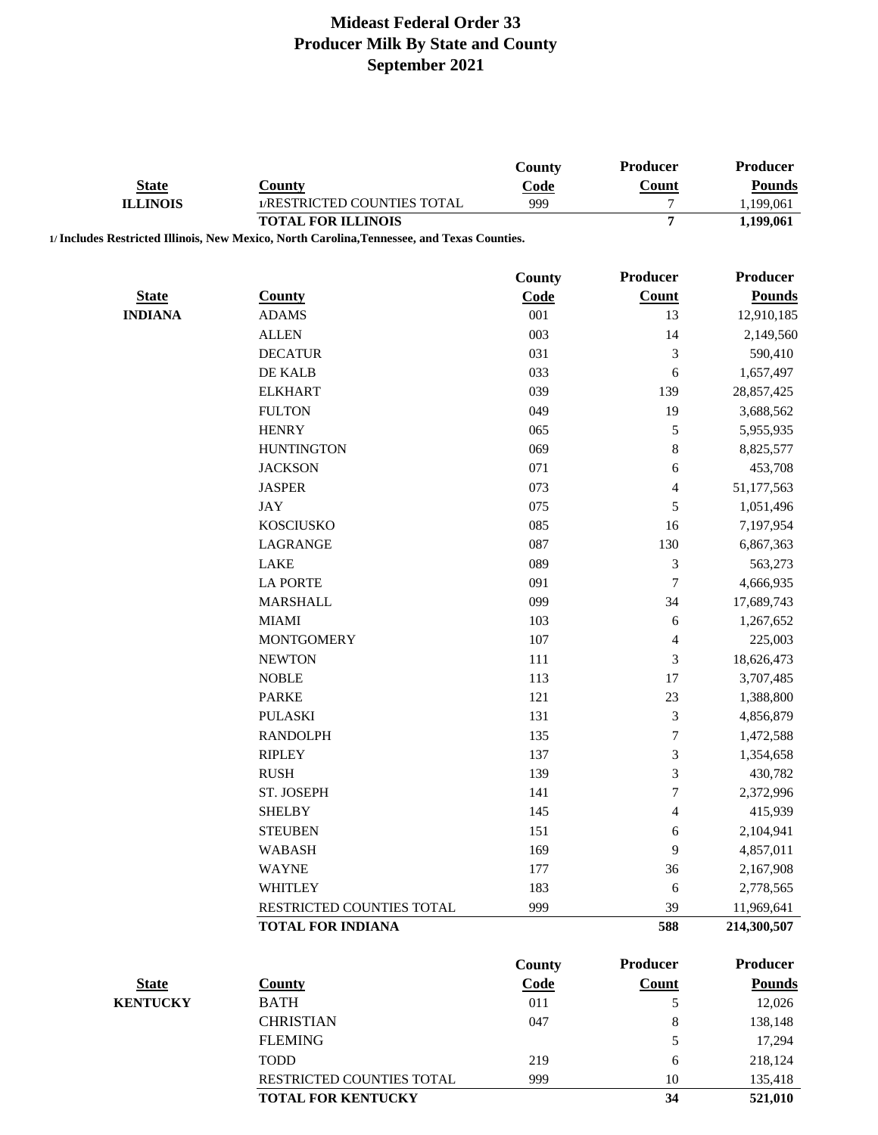|                 |                                                                                             | County        | Producer          | Producer                         |
|-----------------|---------------------------------------------------------------------------------------------|---------------|-------------------|----------------------------------|
| <b>State</b>    | <b>County</b>                                                                               | Code          | Count             | <b>Pounds</b>                    |
| <b>ILLINOIS</b> | 1/RESTRICTED COUNTIES TOTAL                                                                 | 999           | $\boldsymbol{7}$  | 1,199,061                        |
|                 | <b>TOTAL FOR ILLINOIS</b>                                                                   |               | $\overline{7}$    | 1,199,061                        |
|                 | 1/ Includes Restricted Illinois, New Mexico, North Carolina, Tennessee, and Texas Counties. |               |                   |                                  |
|                 |                                                                                             | <b>County</b> | Producer          | <b>Producer</b>                  |
| <b>State</b>    | <b>County</b>                                                                               | Code          | <b>Count</b>      | <b>Pounds</b>                    |
| <b>INDIANA</b>  | <b>ADAMS</b>                                                                                | 001           | 13                | 12,910,185                       |
|                 | <b>ALLEN</b>                                                                                | 003           | 14                | 2,149,560                        |
|                 | <b>DECATUR</b>                                                                              | 031           | $\mathfrak 3$     | 590,410                          |
|                 | DE KALB                                                                                     | 033           | 6                 |                                  |
|                 |                                                                                             |               |                   | 1,657,497                        |
|                 | <b>ELKHART</b>                                                                              | 039           | 139               | 28,857,425                       |
|                 | <b>FULTON</b>                                                                               | 049           | 19                | 3,688,562                        |
|                 | <b>HENRY</b>                                                                                | 065           | $\sqrt{5}$        | 5,955,935                        |
|                 | <b>HUNTINGTON</b>                                                                           | 069           | $\,8\,$           | 8,825,577                        |
|                 | <b>JACKSON</b>                                                                              | 071           | 6                 | 453,708                          |
|                 | <b>JASPER</b>                                                                               | 073           | $\overline{4}$    | 51,177,563                       |
|                 | <b>JAY</b>                                                                                  | 075           | $\sqrt{5}$        | 1,051,496                        |
|                 | <b>KOSCIUSKO</b>                                                                            | 085           | 16                | 7,197,954                        |
|                 | LAGRANGE                                                                                    | 087           | 130               | 6,867,363                        |
|                 | <b>LAKE</b>                                                                                 | 089           | $\mathfrak 3$     | 563,273                          |
|                 | <b>LA PORTE</b>                                                                             | 091           | $\boldsymbol{7}$  | 4,666,935                        |
|                 | <b>MARSHALL</b>                                                                             | 099           | 34                | 17,689,743                       |
|                 | <b>MIAMI</b>                                                                                | 103           | 6                 | 1,267,652                        |
|                 | <b>MONTGOMERY</b>                                                                           | 107           | $\overline{4}$    | 225,003                          |
|                 | <b>NEWTON</b>                                                                               | 111           | 3                 | 18,626,473                       |
|                 | <b>NOBLE</b>                                                                                | 113           | 17                | 3,707,485                        |
|                 | <b>PARKE</b>                                                                                | 121           | 23                | 1,388,800                        |
|                 | <b>PULASKI</b>                                                                              | 131           | $\mathfrak{Z}$    | 4,856,879                        |
|                 | <b>RANDOLPH</b>                                                                             | 135           | $\boldsymbol{7}$  | 1,472,588                        |
|                 | <b>RIPLEY</b>                                                                               | 137           | $\mathfrak 3$     | 1,354,658                        |
|                 | <b>RUSH</b>                                                                                 | 139           | $\mathfrak{Z}$    | 430,782                          |
|                 | ST. JOSEPH                                                                                  | 141           | 7                 | 2,372,996                        |
|                 | <b>SHELBY</b>                                                                               | 145           | 4                 | 415,939                          |
|                 | <b>STEUBEN</b>                                                                              | 151           | 6                 | 2,104,941                        |
|                 | <b>WABASH</b>                                                                               | 169           | 9                 | 4,857,011                        |
|                 | <b>WAYNE</b>                                                                                | 177           | 36                | 2,167,908                        |
|                 | <b>WHITLEY</b>                                                                              | 183           | 6                 | 2,778,565                        |
|                 | RESTRICTED COUNTIES TOTAL                                                                   | 999           | 39                | 11,969,641                       |
|                 | <b>TOTAL FOR INDIANA</b>                                                                    |               | 588               | 214,300,507                      |
|                 |                                                                                             |               |                   |                                  |
| <b>State</b>    | <b>County</b>                                                                               | County        | Producer<br>Count | <b>Producer</b><br><b>Pounds</b> |
| <b>KENTUCKY</b> | <b>BATH</b>                                                                                 | Code<br>011   | $\mathfrak s$     | 12,026                           |
|                 |                                                                                             |               |                   |                                  |
|                 | <b>CHRISTIAN</b>                                                                            | 047           | $\,8\,$           | 138,148                          |
|                 | <b>FLEMING</b>                                                                              |               | $\sqrt{5}$        | 17,294                           |
|                 | <b>TODD</b>                                                                                 | 219           | 6                 | 218,124                          |
|                 | RESTRICTED COUNTIES TOTAL                                                                   | 999           | $10\,$            | 135,418                          |

**TOTAL FOR KENTUCKY 34 521,010**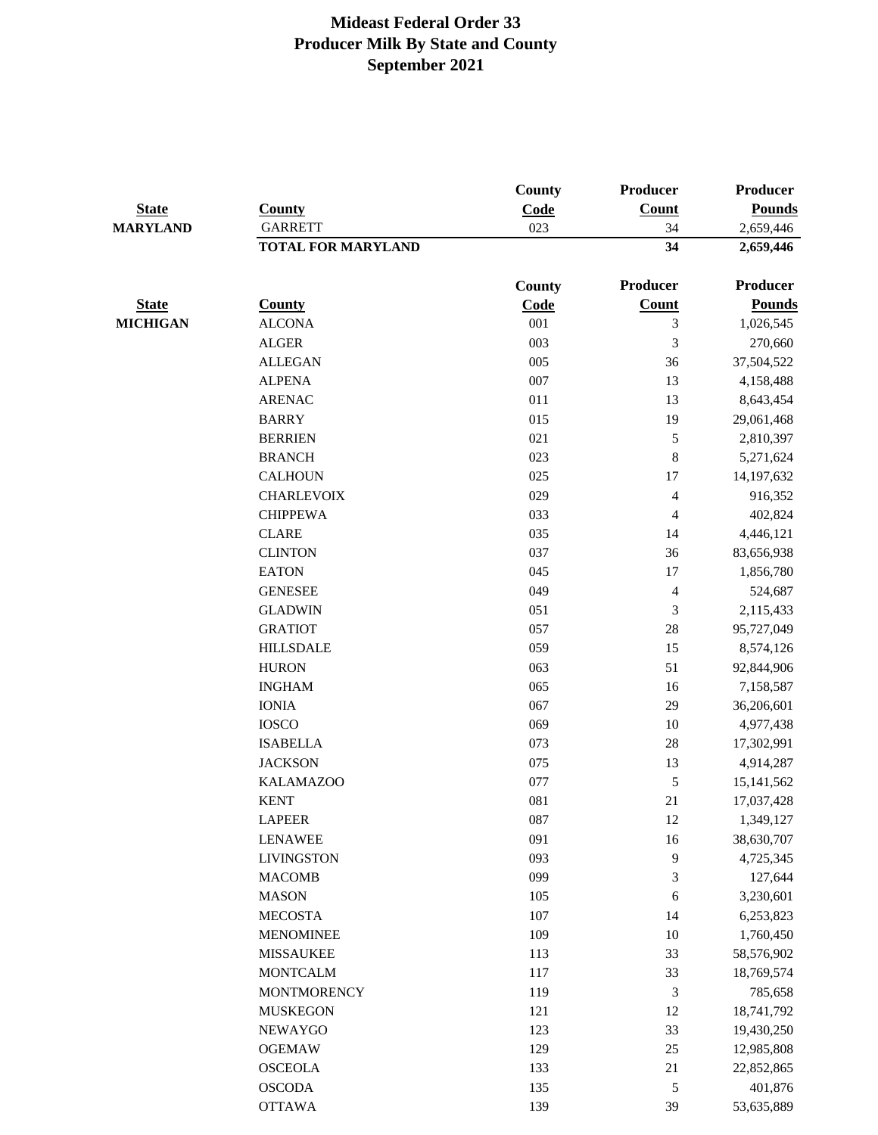| <b>State</b><br><b>MARYLAND</b> | <b>County</b><br><b>GARRETT</b> | County<br>Code | Producer<br>Count<br>34 | Producer<br><b>Pounds</b><br>2,659,446 |
|---------------------------------|---------------------------------|----------------|-------------------------|----------------------------------------|
|                                 |                                 |                |                         |                                        |
|                                 |                                 |                |                         |                                        |
|                                 |                                 | <b>County</b>  | Producer                | <b>Producer</b>                        |
| <b>State</b>                    | <b>County</b>                   | <b>Code</b>    | <b>Count</b>            | <b>Pounds</b>                          |
| <b>MICHIGAN</b>                 | <b>ALCONA</b>                   | 001            | 3                       | 1,026,545                              |
|                                 | <b>ALGER</b>                    | 003            | 3                       | 270,660                                |
|                                 | <b>ALLEGAN</b>                  | 005            | 36                      | 37,504,522                             |
|                                 | <b>ALPENA</b>                   | 007            | 13                      | 4,158,488                              |
|                                 | <b>ARENAC</b>                   | 011            | 13                      | 8,643,454                              |
|                                 | <b>BARRY</b>                    | 015            | 19                      | 29,061,468                             |
|                                 | <b>BERRIEN</b>                  | 021            | 5                       | 2,810,397                              |
|                                 | <b>BRANCH</b>                   | 023            | $\,$ 8 $\,$             | 5,271,624                              |
|                                 | <b>CALHOUN</b>                  | 025            | 17                      | 14,197,632                             |
|                                 | <b>CHARLEVOIX</b>               | 029            | $\overline{\mathbf{4}}$ | 916,352                                |
|                                 | <b>CHIPPEWA</b>                 | 033            | $\overline{4}$          | 402,824                                |
|                                 | <b>CLARE</b>                    | 035            | 14                      | 4,446,121                              |
|                                 | <b>CLINTON</b>                  | 037            | 36                      | 83,656,938                             |
|                                 | <b>EATON</b>                    | 045            | 17                      | 1,856,780                              |
|                                 | <b>GENESEE</b>                  | 049            | $\overline{4}$          | 524,687                                |
|                                 | <b>GLADWIN</b>                  | 051            | 3                       | 2,115,433                              |
|                                 | <b>GRATIOT</b>                  | 057            | $28\,$                  | 95,727,049                             |
|                                 | <b>HILLSDALE</b>                | 059            | 15                      | 8,574,126                              |
|                                 | <b>HURON</b>                    | 063            | 51                      | 92,844,906                             |
|                                 | <b>INGHAM</b>                   | 065            | 16                      | 7,158,587                              |
|                                 | <b>IONIA</b>                    | 067            | 29                      | 36,206,601                             |
|                                 | <b>IOSCO</b>                    | 069            | 10                      | 4,977,438                              |
|                                 | <b>ISABELLA</b>                 | 073            | 28                      | 17,302,991                             |
|                                 | <b>JACKSON</b>                  | 075            | 13                      | 4,914,287                              |
|                                 | <b>KALAMAZOO</b>                | 077            | 5                       | 15, 141, 562                           |
|                                 | <b>KENT</b>                     | 081            | 21                      | 17,037,428                             |
|                                 | <b>LAPEER</b>                   | 087            | 12                      | 1,349,127                              |
|                                 | <b>LENAWEE</b>                  | 091            | 16                      | 38,630,707                             |
|                                 | <b>LIVINGSTON</b>               | 093            | 9                       | 4,725,345                              |
|                                 | <b>MACOMB</b>                   | 099            | $\mathfrak{Z}$          | 127,644                                |
|                                 | <b>MASON</b>                    | 105            | 6                       | 3,230,601                              |
|                                 | <b>MECOSTA</b>                  | 107            | 14                      | 6,253,823                              |
|                                 | <b>MENOMINEE</b>                | 109            | 10                      | 1,760,450                              |
|                                 | <b>MISSAUKEE</b>                | 113            | 33                      | 58,576,902                             |
|                                 | <b>MONTCALM</b>                 | 117            | 33                      | 18,769,574                             |
|                                 | <b>MONTMORENCY</b>              | 119            | $\mathfrak{Z}$          | 785,658                                |
|                                 | <b>MUSKEGON</b>                 | 121            | 12                      | 18,741,792                             |
|                                 | NEWAYGO                         | 123            | 33                      | 19,430,250                             |
|                                 | <b>OGEMAW</b>                   | 129            | $25\,$                  | 12,985,808                             |
|                                 | <b>OSCEOLA</b>                  | 133            | 21                      | 22,852,865                             |
|                                 | <b>OSCODA</b>                   | 135            | $\sqrt{5}$              | 401,876                                |
|                                 | <b>OTTAWA</b>                   | 139            | 39                      | 53,635,889                             |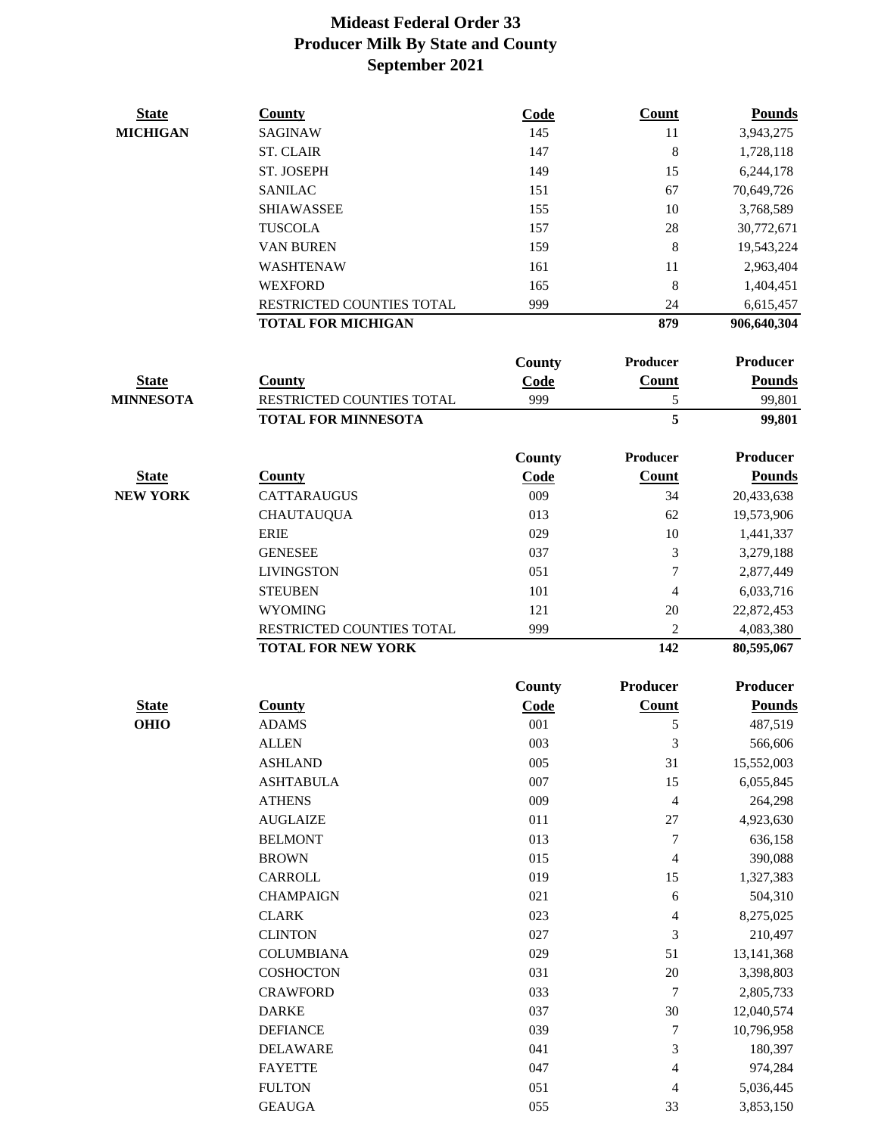| <b>State</b>     | <b>County</b>              | Code        | <b>Count</b>     | <b>Pounds</b>   |
|------------------|----------------------------|-------------|------------------|-----------------|
| <b>MICHIGAN</b>  | <b>SAGINAW</b>             | 145         | 11               | 3,943,275       |
|                  | <b>ST. CLAIR</b>           | 147         | 8                | 1,728,118       |
|                  | ST. JOSEPH                 | 149         | 15               | 6,244,178       |
|                  | <b>SANILAC</b>             | 151         | 67               | 70,649,726      |
|                  | <b>SHIAWASSEE</b>          | 155         | 10               | 3,768,589       |
|                  | <b>TUSCOLA</b>             | 157         | 28               | 30,772,671      |
|                  | <b>VAN BUREN</b>           | 159         | 8                | 19,543,224      |
|                  | WASHTENAW                  | 161         | 11               | 2,963,404       |
|                  | <b>WEXFORD</b>             | 165         | $\bf 8$          | 1,404,451       |
|                  | RESTRICTED COUNTIES TOTAL  | 999         | 24               | 6,615,457       |
|                  | <b>TOTAL FOR MICHIGAN</b>  |             | 879              | 906,640,304     |
|                  |                            | County      | Producer         | <b>Producer</b> |
| <b>State</b>     | <b>County</b>              | Code        | Count            | <b>Pounds</b>   |
| <b>MINNESOTA</b> | RESTRICTED COUNTIES TOTAL  | 999         | 5                | 99,801          |
|                  | <b>TOTAL FOR MINNESOTA</b> |             | 5                | 99,801          |
|                  |                            | County      | Producer         | <b>Producer</b> |
| <b>State</b>     | <b>County</b>              | Code        | <b>Count</b>     | <b>Pounds</b>   |
| <b>NEW YORK</b>  | <b>CATTARAUGUS</b>         | 009         | 34               | 20,433,638      |
|                  | <b>CHAUTAUQUA</b>          | 013         | 62               | 19,573,906      |
|                  | <b>ERIE</b>                | 029         | 10               | 1,441,337       |
|                  | <b>GENESEE</b>             | 037         | 3                | 3,279,188       |
|                  | <b>LIVINGSTON</b>          | 051         | 7                | 2,877,449       |
|                  | <b>STEUBEN</b>             | 101         | 4                | 6,033,716       |
|                  | <b>WYOMING</b>             | 121         | 20               | 22,872,453      |
|                  | RESTRICTED COUNTIES TOTAL  | 999         | $\mathbf{2}$     | 4,083,380       |
|                  | <b>TOTAL FOR NEW YORK</b>  |             | 142              | 80,595,067      |
|                  |                            | County      | <b>Producer</b>  | <b>Producer</b> |
| <b>State</b>     | <b>County</b>              | <b>Code</b> | Count            | <b>Pounds</b>   |
| <b>OHIO</b>      | <b>ADAMS</b>               | 001         | 5                | 487,519         |
|                  | <b>ALLEN</b>               | 003         | 3                | 566,606         |
|                  | <b>ASHLAND</b>             | 005         | 31               | 15,552,003      |
|                  | <b>ASHTABULA</b>           | 007         | 15               | 6,055,845       |
|                  | <b>ATHENS</b>              | 009         | $\overline{4}$   | 264,298         |
|                  | <b>AUGLAIZE</b>            | 011         | $27\,$           | 4,923,630       |
|                  | <b>BELMONT</b>             | 013         | 7                | 636,158         |
|                  | <b>BROWN</b>               | 015         | 4                | 390,088         |
|                  | CARROLL                    | 019         | 15               | 1,327,383       |
|                  | <b>CHAMPAIGN</b>           | 021         | 6                | 504,310         |
|                  | <b>CLARK</b>               | 023         | 4                | 8,275,025       |
|                  | <b>CLINTON</b>             | 027         | 3                | 210,497         |
|                  | <b>COLUMBIANA</b>          | 029         | 51               | 13, 141, 368    |
|                  | COSHOCTON                  | 031         | 20               | 3,398,803       |
|                  | <b>CRAWFORD</b>            | 033         | 7                | 2,805,733       |
|                  | <b>DARKE</b>               | 037         | 30               | 12,040,574      |
|                  | <b>DEFIANCE</b>            | 039         | $\boldsymbol{7}$ | 10,796,958      |
|                  | <b>DELAWARE</b>            | 041         | 3                | 180,397         |
|                  | <b>FAYETTE</b>             | 047         | 4                | 974,284         |
|                  | <b>FULTON</b>              | 051         | 4                | 5,036,445       |

GEAUGA 055 33 3,853,150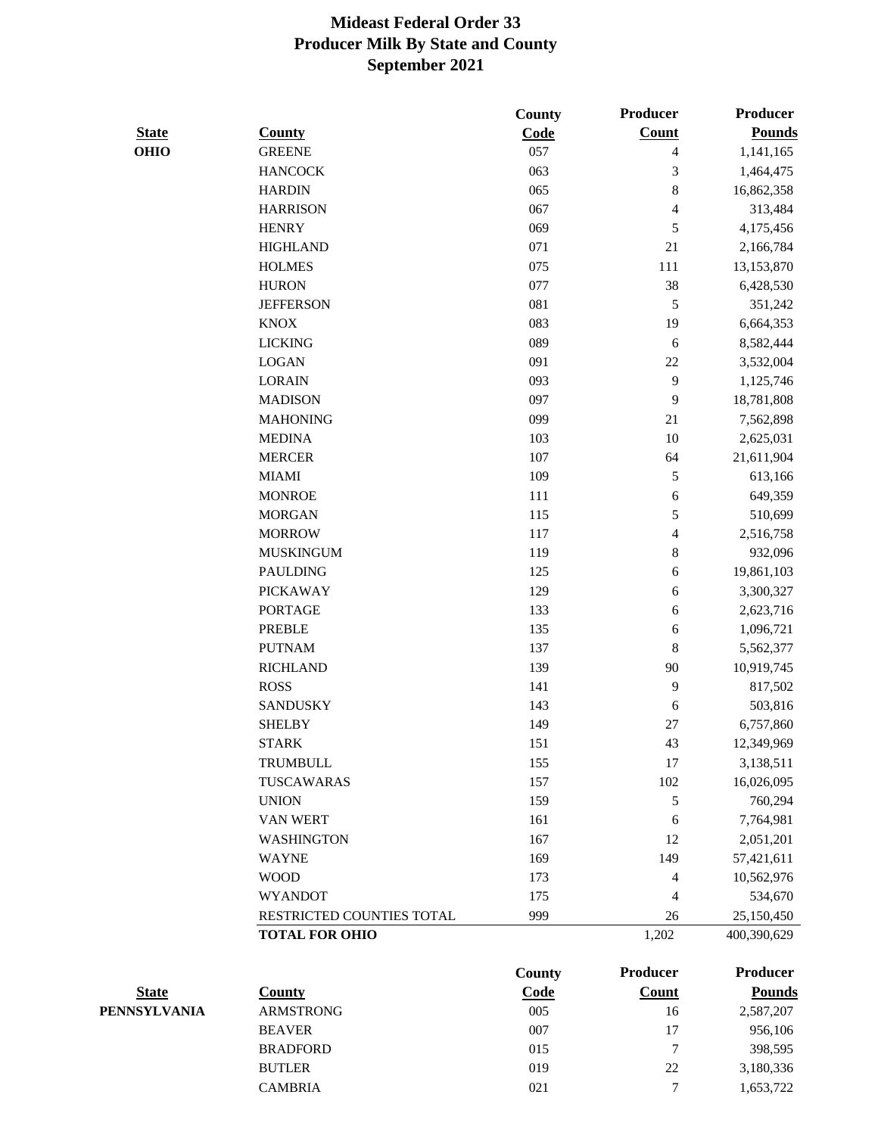|              |                           | County        | <b>Producer</b> | <b>Producer</b> |
|--------------|---------------------------|---------------|-----------------|-----------------|
| <b>State</b> | <b>County</b>             | Code          | <b>Count</b>    | <b>Pounds</b>   |
| <b>OHIO</b>  | <b>GREENE</b>             | 057           | $\overline{4}$  | 1,141,165       |
|              | <b>HANCOCK</b>            | 063           | 3               | 1,464,475       |
|              | <b>HARDIN</b>             | 065           | $\,$ 8 $\,$     | 16,862,358      |
|              | <b>HARRISON</b>           | 067           | $\overline{4}$  | 313,484         |
|              | <b>HENRY</b>              | 069           | 5               | 4,175,456       |
|              | <b>HIGHLAND</b>           | 071           | 21              | 2,166,784       |
|              | <b>HOLMES</b>             | 075           | 111             | 13,153,870      |
|              | <b>HURON</b>              | 077           | 38              | 6,428,530       |
|              | <b>JEFFERSON</b>          | 081           | 5               | 351,242         |
|              | <b>KNOX</b>               | 083           | 19              | 6,664,353       |
|              | <b>LICKING</b>            | 089           | $\sqrt{6}$      | 8,582,444       |
|              | <b>LOGAN</b>              | 091           | $22\,$          | 3,532,004       |
|              | <b>LORAIN</b>             | 093           | 9               | 1,125,746       |
|              | <b>MADISON</b>            | 097           | 9               | 18,781,808      |
|              | <b>MAHONING</b>           | 099           | 21              | 7,562,898       |
|              | <b>MEDINA</b>             | 103           | $10\,$          | 2,625,031       |
|              | <b>MERCER</b>             | 107           | 64              | 21,611,904      |
|              | <b>MIAMI</b>              | 109           | 5               | 613,166         |
|              | <b>MONROE</b>             | 111           | $\sqrt{6}$      | 649,359         |
|              | <b>MORGAN</b>             | 115           | 5               | 510,699         |
|              | <b>MORROW</b>             | 117           | $\overline{4}$  | 2,516,758       |
|              | <b>MUSKINGUM</b>          | 119           | $\,8\,$         | 932,096         |
|              | <b>PAULDING</b>           | 125           | $\sqrt{6}$      | 19,861,103      |
|              | <b>PICKAWAY</b>           | 129           | $\sqrt{6}$      | 3,300,327       |
|              | <b>PORTAGE</b>            | 133           | 6               | 2,623,716       |
|              | <b>PREBLE</b>             | 135           | $\sqrt{6}$      | 1,096,721       |
|              | <b>PUTNAM</b>             | 137           | $\,8\,$         | 5,562,377       |
|              | <b>RICHLAND</b>           | 139           | 90              | 10,919,745      |
|              | <b>ROSS</b>               | 141           | 9               | 817,502         |
|              | <b>SANDUSKY</b>           | 143           | $\sqrt{6}$      | 503,816         |
|              | <b>SHELBY</b>             | 149           | $27\,$          | 6,757,860       |
|              | <b>STARK</b>              | 151           | 43              | 12,349,969      |
|              | TRUMBULL                  | 155           | 17              | 3,138,511       |
|              | TUSCAWARAS                | 157           | 102             | 16,026,095      |
|              | <b>UNION</b>              | 159           | 5               | 760,294         |
|              | VAN WERT                  | 161           | 6               | 7,764,981       |
|              | <b>WASHINGTON</b>         | 167           | 12              | 2,051,201       |
|              | <b>WAYNE</b>              | 169           | 149             | 57,421,611      |
|              | <b>WOOD</b>               | 173           | $\overline{4}$  | 10,562,976      |
|              | <b>WYANDOT</b>            | 175           | $\overline{4}$  | 534,670         |
|              | RESTRICTED COUNTIES TOTAL | 999           | $26\,$          | 25,150,450      |
|              | <b>TOTAL FOR OHIO</b>     |               | 1,202           | 400,390,629     |
|              |                           |               |                 |                 |
|              |                           | <b>County</b> | <b>Producer</b> | <b>Producer</b> |

| <b>State</b> | Countv           | Code | Count | <b>Pounds</b> |
|--------------|------------------|------|-------|---------------|
| PENNSYLVANIA | <b>ARMSTRONG</b> | 005  | 16    | 2,587,207     |
|              | <b>BEAVER</b>    | 007  | 17    | 956,106       |
|              | <b>BRADFORD</b>  | 015  | ⇁     | 398,595       |
|              | <b>BUTLER</b>    | 019  | 22    | 3,180,336     |
|              | <b>CAMBRIA</b>   | 021  | ⇁     | 1,653,722     |